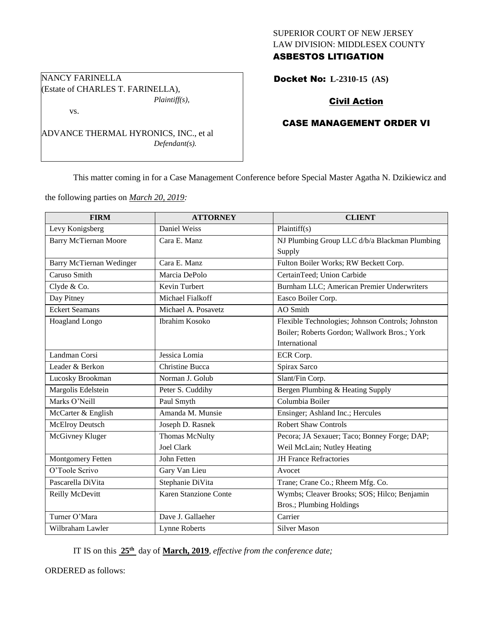# SUPERIOR COURT OF NEW JERSEY LAW DIVISION: MIDDLESEX COUNTY ASBESTOS LITIGATION

Docket No: **L-2310-15 (AS)** 

# Civil Action

## CASE MANAGEMENT ORDER VI

This matter coming in for a Case Management Conference before Special Master Agatha N. Dzikiewicz and

the following parties on *March 20, 2019:*

ADVANCE THERMAL HYRONICS, INC., et al

(Estate of CHARLES T. FARINELLA),

*Plaintiff(s),*

*Defendant(s).*

NANCY FARINELLA

vs.

| <b>FIRM</b>                     | <b>ATTORNEY</b>       | <b>CLIENT</b>                                     |
|---------------------------------|-----------------------|---------------------------------------------------|
| Levy Konigsberg                 | Daniel Weiss          | Plaintiff(s)                                      |
| <b>Barry McTiernan Moore</b>    | Cara E. Manz          | NJ Plumbing Group LLC d/b/a Blackman Plumbing     |
|                                 |                       | Supply                                            |
| <b>Barry McTiernan Wedinger</b> | Cara E. Manz          | Fulton Boiler Works; RW Beckett Corp.             |
| Caruso Smith                    | Marcia DePolo         | CertainTeed; Union Carbide                        |
| Clyde & Co.                     | Kevin Turbert         | Burnham LLC; American Premier Underwriters        |
| Day Pitney                      | Michael Fialkoff      | Easco Boiler Corp.                                |
| <b>Eckert Seamans</b>           | Michael A. Posavetz   | AO Smith                                          |
| <b>Hoagland Longo</b>           | Ibrahim Kosoko        | Flexible Technologies; Johnson Controls; Johnston |
|                                 |                       | Boiler; Roberts Gordon; Wallwork Bros.; York      |
|                                 |                       | International                                     |
| Landman Corsi                   | Jessica Lomia         | ECR Corp.                                         |
| Leader & Berkon                 | Christine Bucca       | Spirax Sarco                                      |
| Lucosky Brookman                | Norman J. Golub       | Slant/Fin Corp.                                   |
| Margolis Edelstein              | Peter S. Cuddihy      | Bergen Plumbing & Heating Supply                  |
| Marks O'Neill                   | Paul Smyth            | Columbia Boiler                                   |
| McCarter & English              | Amanda M. Munsie      | Ensinger; Ashland Inc.; Hercules                  |
| <b>McElroy Deutsch</b>          | Joseph D. Rasnek      | <b>Robert Shaw Controls</b>                       |
| McGivney Kluger                 | <b>Thomas McNulty</b> | Pecora; JA Sexauer; Taco; Bonney Forge; DAP;      |
|                                 | <b>Joel Clark</b>     | Weil McLain; Nutley Heating                       |
| Montgomery Fetten               | John Fetten           | <b>JH France Refractories</b>                     |
| O'Toole Scrivo                  | Gary Van Lieu         | Avocet                                            |
| Pascarella DiVita               | Stephanie DiVita      | Trane; Crane Co.; Rheem Mfg. Co.                  |
| Reilly McDevitt                 | Karen Stanzione Conte | Wymbs; Cleaver Brooks; SOS; Hilco; Benjamin       |
|                                 |                       | Bros.; Plumbing Holdings                          |
| Turner O'Mara                   | Dave J. Gallaeher     | Carrier                                           |
| Wilbraham Lawler                | <b>Lynne Roberts</b>  | <b>Silver Mason</b>                               |

IT IS on this **25th** day of **March, 2019**, *effective from the conference date;*

ORDERED as follows: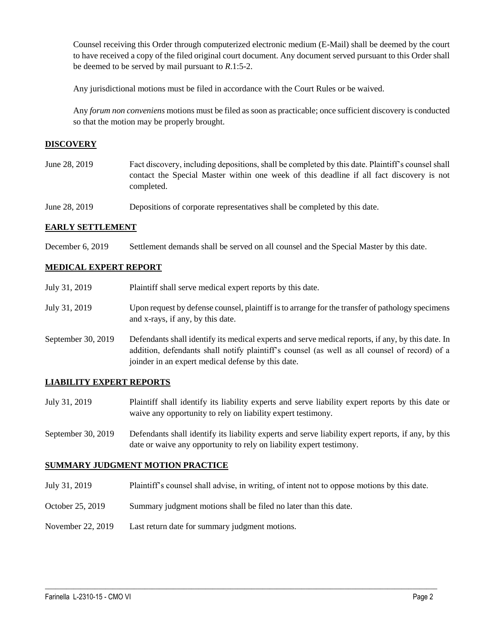Counsel receiving this Order through computerized electronic medium (E-Mail) shall be deemed by the court to have received a copy of the filed original court document. Any document served pursuant to this Order shall be deemed to be served by mail pursuant to *R*.1:5-2.

Any jurisdictional motions must be filed in accordance with the Court Rules or be waived.

Any *forum non conveniens* motions must be filed as soon as practicable; once sufficient discovery is conducted so that the motion may be properly brought.

## **DISCOVERY**

- June 28, 2019 Fact discovery, including depositions, shall be completed by this date. Plaintiff's counsel shall contact the Special Master within one week of this deadline if all fact discovery is not completed.
- June 28, 2019 Depositions of corporate representatives shall be completed by this date.

### **EARLY SETTLEMENT**

December 6, 2019 Settlement demands shall be served on all counsel and the Special Master by this date.

### **MEDICAL EXPERT REPORT**

| July 31, 2019      | Plaintiff shall serve medical expert reports by this date.                                                                                                                                                                                               |
|--------------------|----------------------------------------------------------------------------------------------------------------------------------------------------------------------------------------------------------------------------------------------------------|
| July 31, 2019      | Upon request by defense counsel, plaintiff is to arrange for the transfer of pathology specimens<br>and x-rays, if any, by this date.                                                                                                                    |
| September 30, 2019 | Defendants shall identify its medical experts and serve medical reports, if any, by this date. In<br>addition, defendants shall notify plaintiff's counsel (as well as all counsel of record) of a<br>joinder in an expert medical defense by this date. |

### **LIABILITY EXPERT REPORTS**

- July 31, 2019 Plaintiff shall identify its liability experts and serve liability expert reports by this date or waive any opportunity to rely on liability expert testimony.
- September 30, 2019 Defendants shall identify its liability experts and serve liability expert reports, if any, by this date or waive any opportunity to rely on liability expert testimony.

### **SUMMARY JUDGMENT MOTION PRACTICE**

July 31, 2019 Plaintiff's counsel shall advise, in writing, of intent not to oppose motions by this date.

 $\_$  ,  $\_$  ,  $\_$  ,  $\_$  ,  $\_$  ,  $\_$  ,  $\_$  ,  $\_$  ,  $\_$  ,  $\_$  ,  $\_$  ,  $\_$  ,  $\_$  ,  $\_$  ,  $\_$  ,  $\_$  ,  $\_$  ,  $\_$  ,  $\_$  ,  $\_$  ,  $\_$  ,  $\_$  ,  $\_$  ,  $\_$  ,  $\_$  ,  $\_$  ,  $\_$  ,  $\_$  ,  $\_$  ,  $\_$  ,  $\_$  ,  $\_$  ,  $\_$  ,  $\_$  ,  $\_$  ,  $\_$  ,  $\_$  ,

- October 25, 2019 Summary judgment motions shall be filed no later than this date.
- November 22, 2019 Last return date for summary judgment motions.